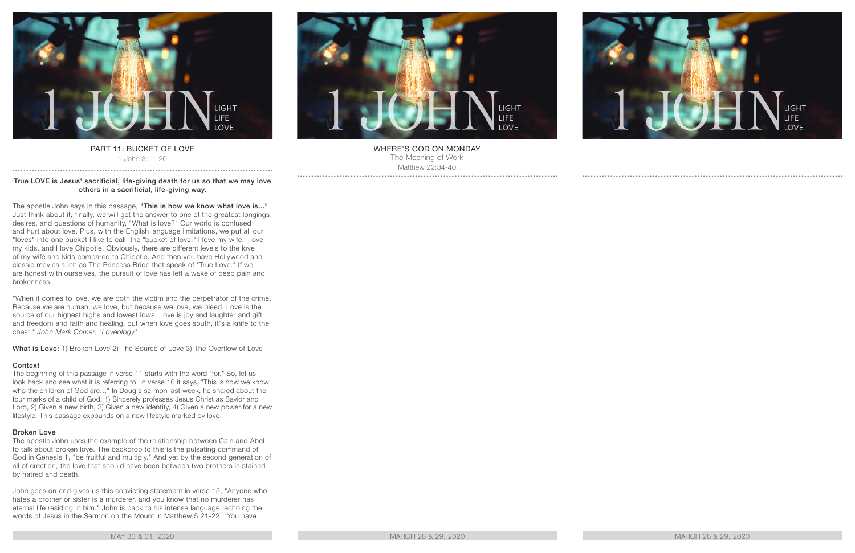

## PART 11: BUCKET OF LOVE 1 John 3:11-20

## True LOVE is Jesus' sacrificial, life-giving death for us so that we may love others in a sacrificial, life-giving way.

The apostle John says in this passage, "This is how we know what love is..." Just think about it; finally, we will get the answer to one of the greatest longings, desires, and questions of humanity, "What is love?" Our world is confused and hurt about love. Plus, with the English language limitations, we put all our "loves" into one bucket I like to call, the "bucket of love." I love my wife, I love my kids, and I love Chipotle. Obviously, there are different levels to the love of my wife and kids compared to Chipotle. And then you have Hollywood and classic movies such as The Princess Bride that speak of "True Love." If we are honest with ourselves, the pursuit of love has left a wake of deep pain and brokenness.

"When it comes to love, we are both the victim and the perpetrator of the crime. Because we are human, we love, but because we love, we bleed. Love is the source of our highest highs and lowest lows. Love is joy and laughter and gift and freedom and faith and healing, but when love goes south, it's a knife to the chest." *John Mark Comer, "Loveology"*

What is Love: 1) Broken Love 2) The Source of Love 3) The Overflow of Love

# Context

The beginning of this passage in verse 11 starts with the word "for." So, let us look back and see what it is referring to. In verse 10 it says, "This is how we know who the children of God are…" In Doug's sermon last week, he shared about the four marks of a child of God: 1) Sincerely professes Jesus Christ as Savior and Lord, 2) Given a new birth, 3) Given a new identity, 4) Given a new power for a new lifestyle. This passage expounds on a new lifestyle marked by love.

## Broken Love

The apostle John uses the example of the relationship between Cain and Abel to talk about broken love. The backdrop to this is the pulsating command of God in Genesis 1, "be fruitful and multiply." And yet by the second generation of all of creation, the love that should have been between two brothers is stained by hatred and death.

John goes on and gives us this convicting statement in verse 15, "Anyone who hates a brother or sister is a murderer, and you know that no murderer has eternal life residing in him." John is back to his intense language, echoing the words of Jesus in the Sermon on the Mount in Matthew 5:21-22, "You have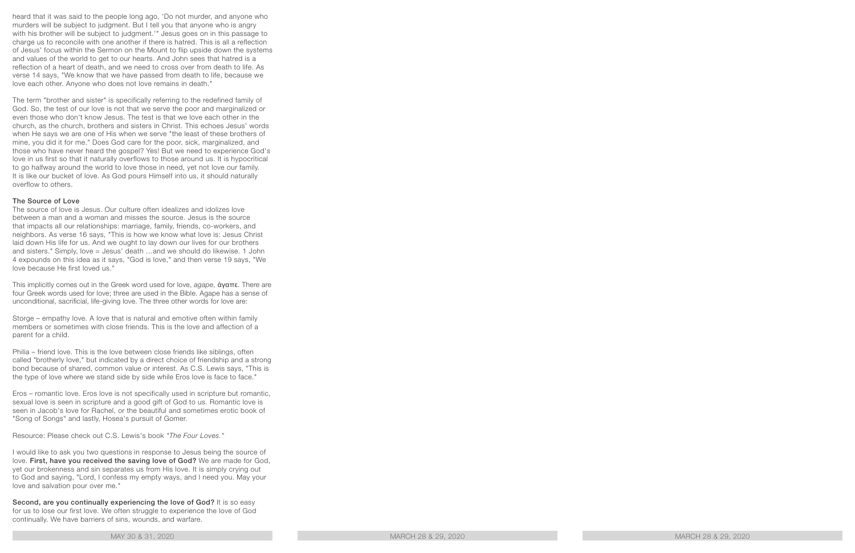heard that it was said to the people long ago, 'Do not murder, and anyone who murders will be subject to judgment. But I tell you that anyone who is angry with his brother will be subject to judgment.'" Jesus goes on in this passage to charge us to reconcile with one another if there is hatred. This is all a reflection of Jesus' focus within the Sermon on the Mount to flip upside down the systems and values of the world to get to our hearts. And John sees that hatred is a reflection of a heart of death, and we need to cross over from death to life. As verse 14 says, "We know that we have passed from death to life, because we love each other. Anyone who does not love remains in death."

The term "brother and sister" is specifically referring to the redefined family of God. So, the test of our love is not that we serve the poor and marginalized or even those who don't know Jesus. The test is that we love each other in the church, as the church, brothers and sisters in Christ. This echoes Jesus' words when He says we are one of His when we serve "the least of these brothers of mine, you did it for me." Does God care for the poor, sick, marginalized, and those who have never heard the gospel? Yes! But we need to experience God's love in us first so that it naturally overflows to those around us. It is hypocritical to go halfway around the world to love those in need, yet not love our family. It is like our bucket of love. As God pours Himself into us, it should naturally overflow to others.

## The Source of Love

The source of love is Jesus. Our culture often idealizes and idolizes love between a man and a woman and misses the source. Jesus is the source that impacts all our relationships: marriage, family, friends, co-workers, and neighbors. As verse 16 says, "This is how we know what love is: Jesus Christ laid down His life for us. And we ought to lay down our lives for our brothers and sisters." Simply, love = Jesus' death …and we should do likewise. 1 John 4 expounds on this idea as it says, "God is love," and then verse 19 says, "We love because He first loved us."

This implicitly comes out in the Greek word used for love, *agape*, ἀγαπε. There are four Greek words used for love; three are used in the Bible. Agape has a sense of unconditional, sacrificial, life-giving love. The three other words for love are:

Storge – empathy love. A love that is natural and emotive often within family members or sometimes with close friends. This is the love and affection of a parent for a child.

Philia – friend love. This is the love between close friends like siblings, often called "brotherly love," but indicated by a direct choice of friendship and a strong bond because of shared, common value or interest. As C.S. Lewis says, "This is the type of love where we stand side by side while Eros love is face to face."

Eros – romantic love. Eros love is not specifically used in scripture but romantic, sexual love is seen in scripture and a good gift of God to us. Romantic love is seen in Jacob's love for Rachel, or the beautiful and sometimes erotic book of "Song of Songs" and lastly, Hosea's pursuit of Gomer.

Resource: Please check out C.S. Lewis's book *"The Four Loves."*

I would like to ask you two questions in response to Jesus being the source of love. First, have you received the saving love of God? We are made for God, yet our brokenness and sin separates us from His love. It is simply crying out to God and saying, "Lord, I confess my empty ways, and I need you. May your love and salvation pour over me."

Second, are you continually experiencing the love of God? It is so easy for us to lose our first love. We often struggle to experience the love of God continually. We have barriers of sins, wounds, and warfare.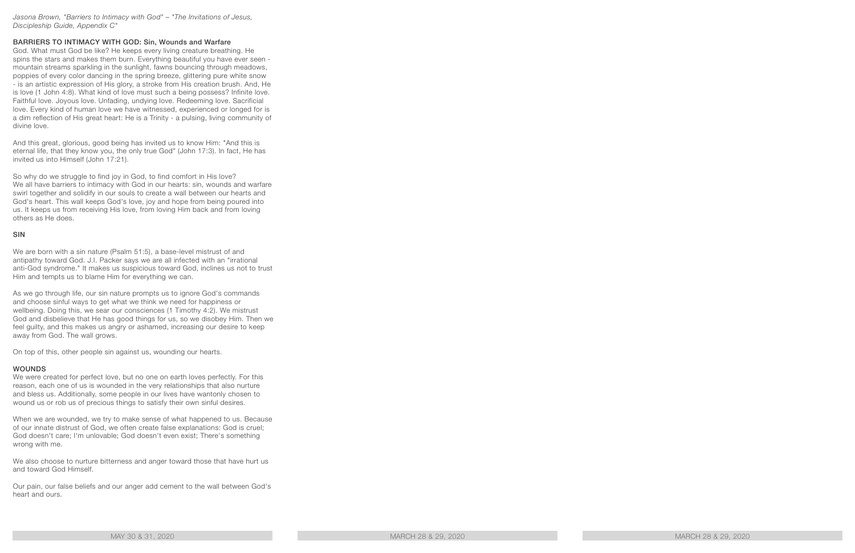### *Jasona Brown, "Barriers to Intimacy with God" – "The Invitations of Jesus, Discipleship Guide, Appendix C"*

## BARRIERS TO INTIMACY WITH GOD: Sin, Wounds and Warfare

God. What must God be like? He keeps every living creature breathing. He spins the stars and makes them burn. Everything beautiful you have ever seen mountain streams sparkling in the sunlight, fawns bouncing through meadows, poppies of every color dancing in the spring breeze, glittering pure white snow - is an artistic expression of His glory, a stroke from His creation brush. And, He is love (1 John 4:8). What kind of love must such a being possess? Infinite love. Faithful love. Joyous love. Unfading, undying love. Redeeming love. Sacrificial love. Every kind of human love we have witnessed, experienced or longed for is a dim reflection of His great heart: He is a Trinity - a pulsing, living community of divine love.

And this great, glorious, good being has invited us to know Him: "And this is eternal life, that they know you, the only true God" (John 17:3). In fact, He has invited us into Himself (John 17:21).

So why do we struggle to find joy in God, to find comfort in His love? We all have barriers to intimacy with God in our hearts: sin, wounds and warfare swirl together and solidify in our souls to create a wall between our hearts and God's heart. This wall keeps God's love, joy and hope from being poured into us. It keeps us from receiving His love, from loving Him back and from loving others as He does.

#### **SIN**

We are born with a sin nature (Psalm 51:5), a base-level mistrust of and antipathy toward God. J.I. Packer says we are all infected with an "irrational anti-God syndrome." It makes us suspicious toward God, inclines us not to trust Him and tempts us to blame Him for everything we can.

As we go through life, our sin nature prompts us to ignore God's commands and choose sinful ways to get what we think we need for happiness or wellbeing. Doing this, we sear our consciences (1 Timothy 4:2). We mistrust God and disbelieve that He has good things for us, so we disobey Him. Then we feel guilty, and this makes us angry or ashamed, increasing our desire to keep away from God. The wall grows.

On top of this, other people sin against us, wounding our hearts.

## WOUNDS

We were created for perfect love, but no one on earth loves perfectly. For this reason, each one of us is wounded in the very relationships that also nurture and bless us. Additionally, some people in our lives have wantonly chosen to wound us or rob us of precious things to satisfy their own sinful desires.

When we are wounded, we try to make sense of what happened to us. Because of our innate distrust of God, we often create false explanations: God is cruel; God doesn't care; I'm unlovable; God doesn't even exist; There's something wrong with me.

We also choose to nurture bitterness and anger toward those that have hurt us and toward God Himself.

Our pain, our false beliefs and our anger add cement to the wall between God's heart and ours.